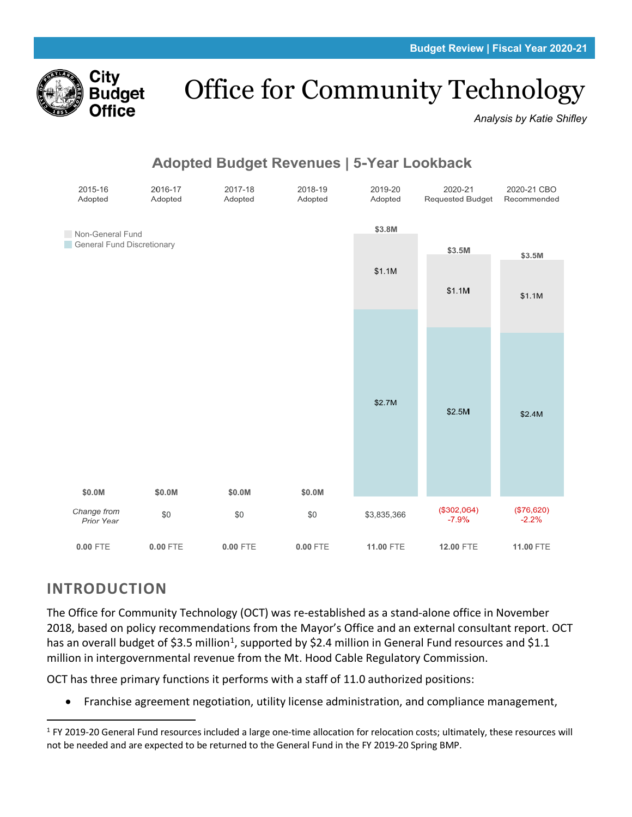

# Office for Community Technology

*Analysis by Katie Shifley*



# **INTRODUCTION**

The Office for Community Technology (OCT) was re-established as a stand-alone office in November 2018, based on policy recommendations from the Mayor's Office and an external consultant report. OCT has an overall budget of \$3.5 million<sup>[1](#page-0-0)</sup>, supported by \$2.4 million in General Fund resources and \$1.1 million in intergovernmental revenue from the Mt. Hood Cable Regulatory Commission.

OCT has three primary functions it performs with a staff of 11.0 authorized positions:

• Franchise agreement negotiation, utility license administration, and compliance management,

<span id="page-0-0"></span> $1$  FY 2019-20 General Fund resources included a large one-time allocation for relocation costs; ultimately, these resources will not be needed and are expected to be returned to the General Fund in the FY 2019-20 Spring BMP.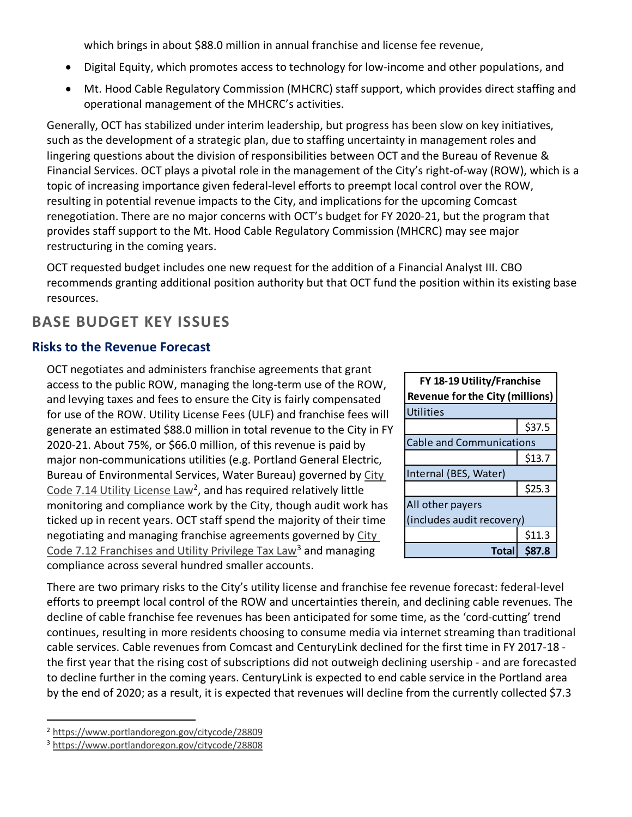which brings in about \$88.0 million in annual franchise and license fee revenue,

- Digital Equity, which promotes access to technology for low-income and other populations, and
- Mt. Hood Cable Regulatory Commission (MHCRC) staff support, which provides direct staffing and operational management of the MHCRC's activities.

Generally, OCT has stabilized under interim leadership, but progress has been slow on key initiatives, such as the development of a strategic plan, due to staffing uncertainty in management roles and lingering questions about the division of responsibilities between OCT and the Bureau of Revenue & Financial Services. OCT plays a pivotal role in the management of the City's right-of-way (ROW), which is a topic of increasing importance given federal-level efforts to preempt local control over the ROW, resulting in potential revenue impacts to the City, and implications for the upcoming Comcast renegotiation. There are no major concerns with OCT's budget for FY 2020-21, but the program that provides staff support to the Mt. Hood Cable Regulatory Commission (MHCRC) may see major restructuring in the coming years.

OCT requested budget includes one new request for the addition of a Financial Analyst III. CBO recommends granting additional position authority but that OCT fund the position within its existing base resources.

# **BASE BUDGET KEY ISSUES**

## **Risks to the Revenue Forecast**

OCT negotiates and administers franchise agreements that grant access to the public ROW, managing the long-term use of the ROW, and levying taxes and fees to ensure the City is fairly compensated for use of the ROW. Utility License Fees (ULF) and franchise fees will generate an estimated \$88.0 million in total revenue to the City in FY 2020-21. About 75%, or \$66.0 million, of this revenue is paid by major non-communications utilities (e.g. Portland General Electric, Bureau of Environmental Services, Water Bureau) governed by [City](https://www.portlandoregon.gov/citycode/28809)  [Code 7.14 Utility License Law](https://www.portlandoregon.gov/citycode/28809)<sup>[2](#page-1-0)</sup>, and has required relatively little monitoring and compliance work by the City, though audit work has ticked up in recent years. OCT staff spend the majority of their time negotiating and managing franchise agreements governed by [City](https://www.portlandoregon.gov/citycode/28808)  [Code 7.12 Franchises and Utility Privilege Tax Law](https://www.portlandoregon.gov/citycode/28808)<sup>[3](#page-1-1)</sup> and managing compliance across several hundred smaller accounts.

| FY 18-19 Utility/Franchise<br><b>Revenue for the City (millions)</b> |        |  |  |  |
|----------------------------------------------------------------------|--------|--|--|--|
| <b>Utilities</b>                                                     |        |  |  |  |
|                                                                      | \$37.5 |  |  |  |
| <b>Cable and Communications</b>                                      |        |  |  |  |
|                                                                      | \$13.7 |  |  |  |
| Internal (BES, Water)                                                |        |  |  |  |
|                                                                      | \$25.3 |  |  |  |
| All other payers                                                     |        |  |  |  |
| (includes audit recovery)                                            |        |  |  |  |
|                                                                      | \$11.3 |  |  |  |
| Total                                                                | \$87.8 |  |  |  |

There are two primary risks to the City's utility license and franchise fee revenue forecast: federal-level efforts to preempt local control of the ROW and uncertainties therein, and declining cable revenues. The decline of cable franchise fee revenues has been anticipated for some time, as the 'cord-cutting' trend continues, resulting in more residents choosing to consume media via internet streaming than traditional cable services. Cable revenues from Comcast and CenturyLink declined for the first time in FY 2017-18 the first year that the rising cost of subscriptions did not outweigh declining usership - and are forecasted to decline further in the coming years. CenturyLink is expected to end cable service in the Portland area by the end of 2020; as a result, it is expected that revenues will decline from the currently collected \$7.3

<span id="page-1-0"></span><sup>2</sup> <https://www.portlandoregon.gov/citycode/28809>

<span id="page-1-1"></span><sup>3</sup> <https://www.portlandoregon.gov/citycode/28808>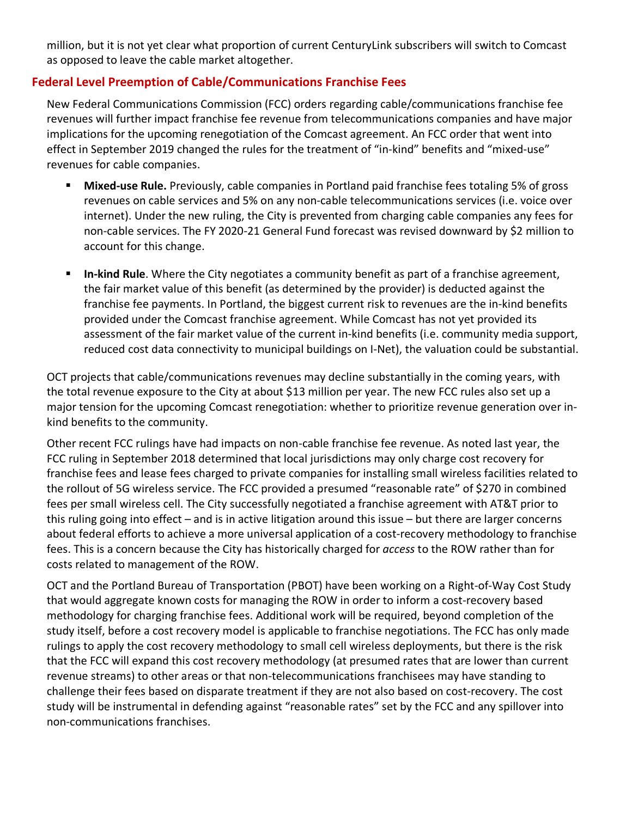million, but it is not yet clear what proportion of current CenturyLink subscribers will switch to Comcast as opposed to leave the cable market altogether.

#### **Federal Level Preemption of Cable/Communications Franchise Fees**

New Federal Communications Commission (FCC) orders regarding cable/communications franchise fee revenues will further impact franchise fee revenue from telecommunications companies and have major implications for the upcoming renegotiation of the Comcast agreement. An FCC order that went into effect in September 2019 changed the rules for the treatment of "in-kind" benefits and "mixed-use" revenues for cable companies.

- **Mixed-use Rule.** Previously, cable companies in Portland paid franchise fees totaling 5% of gross revenues on cable services and 5% on any non-cable telecommunications services (i.e. voice over internet). Under the new ruling, the City is prevented from charging cable companies any fees for non-cable services. The FY 2020-21 General Fund forecast was revised downward by \$2 million to account for this change.
- **In-kind Rule**. Where the City negotiates a community benefit as part of a franchise agreement, the fair market value of this benefit (as determined by the provider) is deducted against the franchise fee payments. In Portland, the biggest current risk to revenues are the in-kind benefits provided under the Comcast franchise agreement. While Comcast has not yet provided its assessment of the fair market value of the current in-kind benefits (i.e. community media support, reduced cost data connectivity to municipal buildings on I-Net), the valuation could be substantial.

OCT projects that cable/communications revenues may decline substantially in the coming years, with the total revenue exposure to the City at about \$13 million per year. The new FCC rules also set up a major tension for the upcoming Comcast renegotiation: whether to prioritize revenue generation over inkind benefits to the community.

Other recent FCC rulings have had impacts on non-cable franchise fee revenue. As noted last year, the FCC ruling in September 2018 determined that local jurisdictions may only charge cost recovery for franchise fees and lease fees charged to private companies for installing small wireless facilities related to the rollout of 5G wireless service. The FCC provided a presumed "reasonable rate" of \$270 in combined fees per small wireless cell. The City successfully negotiated a franchise agreement with AT&T prior to this ruling going into effect – and is in active litigation around this issue – but there are larger concerns about federal efforts to achieve a more universal application of a cost-recovery methodology to franchise fees. This is a concern because the City has historically charged for *access* to the ROW rather than for costs related to management of the ROW.

OCT and the Portland Bureau of Transportation (PBOT) have been working on a Right-of-Way Cost Study that would aggregate known costs for managing the ROW in order to inform a cost-recovery based methodology for charging franchise fees. Additional work will be required, beyond completion of the study itself, before a cost recovery model is applicable to franchise negotiations. The FCC has only made rulings to apply the cost recovery methodology to small cell wireless deployments, but there is the risk that the FCC will expand this cost recovery methodology (at presumed rates that are lower than current revenue streams) to other areas or that non-telecommunications franchisees may have standing to challenge their fees based on disparate treatment if they are not also based on cost-recovery. The cost study will be instrumental in defending against "reasonable rates" set by the FCC and any spillover into non-communications franchises.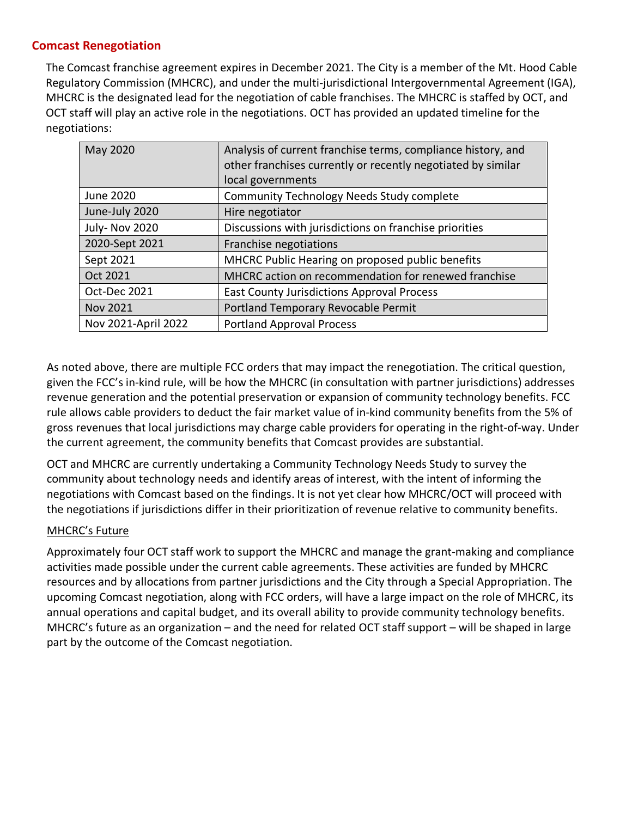#### **Comcast Renegotiation**

The Comcast franchise agreement expires in December 2021. The City is a member of the Mt. Hood Cable Regulatory Commission (MHCRC), and under the multi-jurisdictional Intergovernmental Agreement (IGA), MHCRC is the designated lead for the negotiation of cable franchises. The MHCRC is staffed by OCT, and OCT staff will play an active role in the negotiations. OCT has provided an updated timeline for the negotiations:

| May 2020            | Analysis of current franchise terms, compliance history, and |
|---------------------|--------------------------------------------------------------|
|                     | other franchises currently or recently negotiated by similar |
|                     | local governments                                            |
| June 2020           | <b>Community Technology Needs Study complete</b>             |
| June-July 2020      | Hire negotiator                                              |
| July-Nov 2020       | Discussions with jurisdictions on franchise priorities       |
| 2020-Sept 2021      | Franchise negotiations                                       |
| Sept 2021           | MHCRC Public Hearing on proposed public benefits             |
| Oct 2021            | MHCRC action on recommendation for renewed franchise         |
| Oct-Dec 2021        | <b>East County Jurisdictions Approval Process</b>            |
| <b>Nov 2021</b>     | Portland Temporary Revocable Permit                          |
| Nov 2021-April 2022 | <b>Portland Approval Process</b>                             |

As noted above, there are multiple FCC orders that may impact the renegotiation. The critical question, given the FCC's in-kind rule, will be how the MHCRC (in consultation with partner jurisdictions) addresses revenue generation and the potential preservation or expansion of community technology benefits. FCC rule allows cable providers to deduct the fair market value of in-kind community benefits from the 5% of gross revenues that local jurisdictions may charge cable providers for operating in the right-of-way. Under the current agreement, the community benefits that Comcast provides are substantial.

OCT and MHCRC are currently undertaking a Community Technology Needs Study to survey the community about technology needs and identify areas of interest, with the intent of informing the negotiations with Comcast based on the findings. It is not yet clear how MHCRC/OCT will proceed with the negotiations if jurisdictions differ in their prioritization of revenue relative to community benefits.

#### MHCRC's Future

Approximately four OCT staff work to support the MHCRC and manage the grant-making and compliance activities made possible under the current cable agreements. These activities are funded by MHCRC resources and by allocations from partner jurisdictions and the City through a Special Appropriation. The upcoming Comcast negotiation, along with FCC orders, will have a large impact on the role of MHCRC, its annual operations and capital budget, and its overall ability to provide community technology benefits. MHCRC's future as an organization – and the need for related OCT staff support – will be shaped in large part by the outcome of the Comcast negotiation.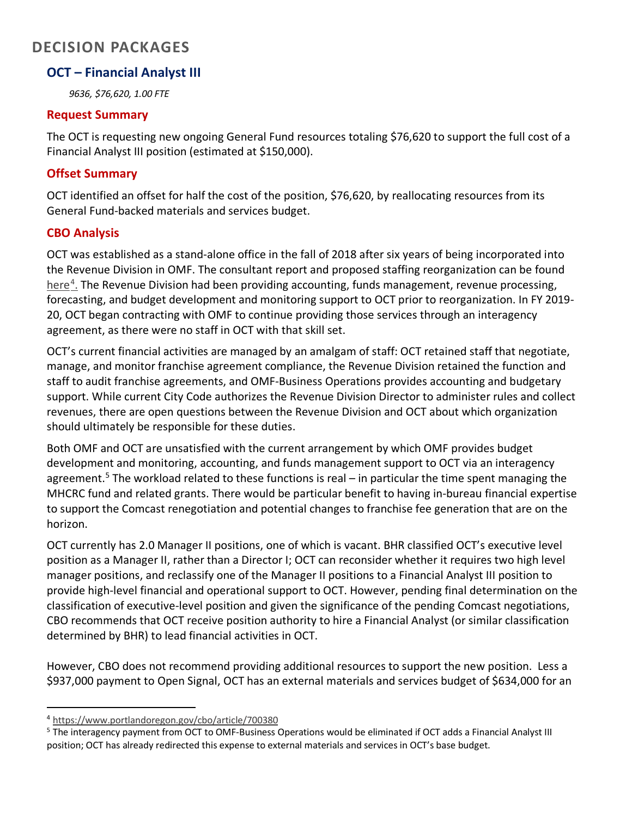# **DECISION PACKAGES**

#### **OCT – Financial Analyst III**

*9636, \$76,620, 1.00 FTE*

#### **Request Summary**

The OCT is requesting new ongoing General Fund resources totaling \$76,620 to support the full cost of a Financial Analyst III position (estimated at \$150,000).

#### **Offset Summary**

OCT identified an offset for half the cost of the position, \$76,620, by reallocating resources from its General Fund-backed materials and services budget.

#### **CBO Analysis**

OCT was established as a stand-alone office in the fall of 2018 after six years of being incorporated into the Revenue Division in OMF. The consultant report and proposed staffing reorganization can be found here<sup>4</sup>. The Revenue Division had been providing accounting, funds management, revenue processing, forecasting, and budget development and monitoring support to OCT prior to reorganization. In FY 2019- 20, OCT began contracting with OMF to continue providing those services through an interagency agreement, as there were no staff in OCT with that skill set.

OCT's current financial activities are managed by an amalgam of staff: OCT retained staff that negotiate, manage, and monitor franchise agreement compliance, the Revenue Division retained the function and staff to audit franchise agreements, and OMF-Business Operations provides accounting and budgetary support. While current City Code authorizes the Revenue Division Director to administer rules and collect revenues, there are open questions between the Revenue Division and OCT about which organization should ultimately be responsible for these duties.

Both OMF and OCT are unsatisfied with the current arrangement by which OMF provides budget development and monitoring, accounting, and funds management support to OCT via an interagency agreement.<sup>[5](#page-4-1)</sup> The workload related to these functions is real – in particular the time spent managing the MHCRC fund and related grants. There would be particular benefit to having in-bureau financial expertise to support the Comcast renegotiation and potential changes to franchise fee generation that are on the horizon.

OCT currently has 2.0 Manager II positions, one of which is vacant. BHR classified OCT's executive level position as a Manager II, rather than a Director I; OCT can reconsider whether it requires two high level manager positions, and reclassify one of the Manager II positions to a Financial Analyst III position to provide high-level financial and operational support to OCT. However, pending final determination on the classification of executive-level position and given the significance of the pending Comcast negotiations, CBO recommends that OCT receive position authority to hire a Financial Analyst (or similar classification determined by BHR) to lead financial activities in OCT.

However, CBO does not recommend providing additional resources to support the new position. Less a \$937,000 payment to Open Signal, OCT has an external materials and services budget of \$634,000 for an

<span id="page-4-0"></span><sup>4</sup> <https://www.portlandoregon.gov/cbo/article/700380>

<span id="page-4-1"></span><sup>&</sup>lt;sup>5</sup> The interagency payment from OCT to OMF-Business Operations would be eliminated if OCT adds a Financial Analyst III position; OCT has already redirected this expense to external materials and services in OCT's base budget.